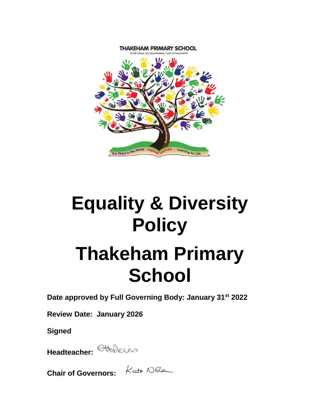

# **Equality & Diversity Policy**

# **Thakeham Primary School**

**Date approved by Full Governing Body: January 31st 2022**

**Review Date: January 2026**

**Signed**

**Headteacher:** 

**Chair of Governors:**  $K$ ate N86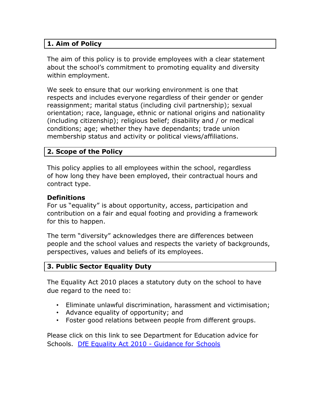### **1. Aim of Policy**

The aim of this policy is to provide employees with a clear statement about the school's commitment to promoting equality and diversity within employment.

We seek to ensure that our working environment is one that respects and includes everyone regardless of their gender or gender reassignment; marital status (including civil partnership); sexual orientation; race, language, ethnic or national origins and nationality (including citizenship); religious belief; disability and / or medical conditions; age; whether they have dependants; trade union membership status and activity or political views/affiliations.

#### **2. Scope of the Policy**

This policy applies to all employees within the school, regardless of how long they have been employed, their contractual hours and contract type.

#### **Definitions**

For us "equality" is about opportunity, access, participation and contribution on a fair and equal footing and providing a framework for this to happen.

The term "diversity" acknowledges there are differences between people and the school values and respects the variety of backgrounds, perspectives, values and beliefs of its employees.

#### **3. Public Sector Equality Duty**

The Equality Act 2010 places a statutory duty on the school to have due regard to the need to:

- Eliminate unlawful discrimination, harassment and victimisation;
- Advance equality of opportunity; and
- Foster good relations between people from different groups.

Please click on this link to see Department for Education advice for Schools. [DfE Equality Act 2010 -](http://www.education.gov.uk/aboutdfe/policiesandprocedures/equalityanddiversity/a0064570/the-equality-act-2010) Guidance for Schools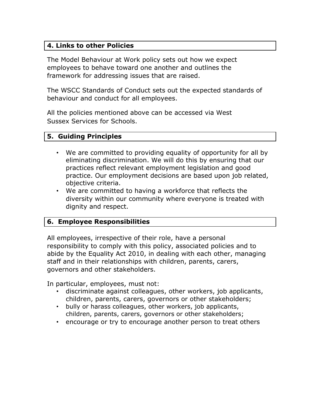### **4. Links to other Policies**

The Model Behaviour at Work policy sets out how we expect employees to behave toward one another and outlines the framework for addressing issues that are raised.

The WSCC Standards of Conduct sets out the expected standards of behaviour and conduct for all employees.

All the policies mentioned above can be accessed via West Sussex Services for Schools.

#### **5. Guiding Principles**

- We are committed to providing equality of opportunity for all by eliminating discrimination. We will do this by ensuring that our practices reflect relevant employment legislation and good practice. Our employment decisions are based upon job related, objective criteria.
- We are committed to having a workforce that reflects the diversity within our community where everyone is treated with dignity and respect.

#### **6. Employee Responsibilities**

All employees, irrespective of their role, have a personal responsibility to comply with this policy, associated policies and to abide by the Equality Act 2010, in dealing with each other, managing staff and in their relationships with children, parents, carers, governors and other stakeholders.

In particular, employees, must not:

- discriminate against colleagues, other workers, job applicants, children, parents, carers, governors or other stakeholders;
- bully or harass colleagues, other workers, job applicants, children, parents, carers, governors or other stakeholders;
- encourage or try to encourage another person to treat others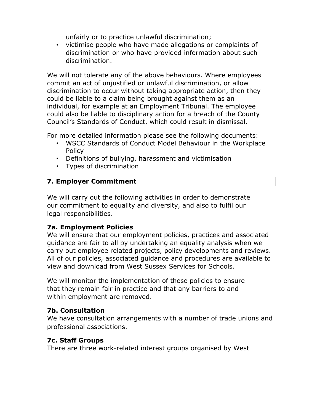unfairly or to practice unlawful discrimination;

• victimise people who have made allegations or complaints of discrimination or who have provided information about such discrimination.

We will not tolerate any of the above behaviours. Where employees commit an act of unjustified or unlawful discrimination, or allow discrimination to occur without taking appropriate action, then they could be liable to a claim being brought against them as an individual, for example at an Employment Tribunal. The employee could also be liable to disciplinary action for a breach of the County Council's Standards of Conduct, which could result in dismissal.

For more detailed information please see the following documents:

- WSCC Standards of Conduct Model Behaviour in the Workplace Policy
- Definitions of bullying, harassment and victimisation
- Types of discrimination

# **7. Employer Commitment**

We will carry out the following activities in order to demonstrate our commitment to equality and diversity, and also to fulfil our legal responsibilities.

# **7a. Employment Policies**

We will ensure that our employment policies, practices and associated guidance are fair to all by undertaking an equality analysis when we carry out employee related projects, policy developments and reviews. All of our policies, associated guidance and procedures are available to view and download from West Sussex Services for Schools.

We will monitor the implementation of these policies to ensure that they remain fair in practice and that any barriers to and within employment are removed.

#### **7b. Consultation**

We have consultation arrangements with a number of trade unions and professional associations.

# **7c. Staff Groups**

There are three work-related interest groups organised by West